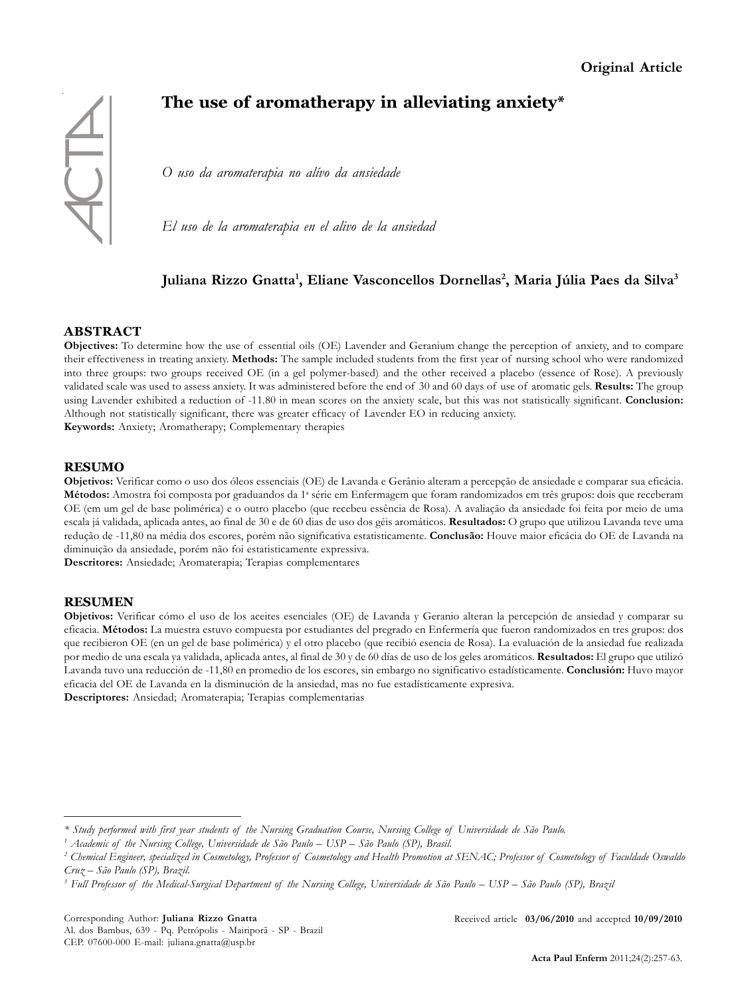# $\frac{4}{3}$

# **The use of aromatherapy in alleviating anxiety\***

*O uso da aromaterapia no alívo da ansiedade*

*El uso de la aromaterapia en el alivo de la ansiedad*

# Juliana Rizzo Gnatta<sup>1</sup>, Eliane Vasconcellos Dornellas<sup>2</sup>, Maria Júlia Paes da Silva<sup>3</sup>

### **ABSTRACT**

**Objectives:** To determine how the use of essential oils (OE) Lavender and Geranium change the perception of anxiety, and to compare their effectiveness in treating anxiety. **Methods:** The sample included students from the first year of nursing school who were randomized into three groups: two groups received OE (in a gel polymer-based) and the other received a placebo (essence of Rose). A previously validated scale was used to assess anxiety. It was administered before the end of 30 and 60 days of use of aromatic gels. **Results:** The group using Lavender exhibited a reduction of -11.80 in mean scores on the anxiety scale, but this was not statistically significant. **Conclusion:** Although not statistically significant, there was greater efficacy of Lavender EO in reducing anxiety. **Keywords:** Anxiety; Aromatherapy; Complementary therapies

### **RESUMO**

**Objetivos:** Verificar como o uso dos óleos essenciais (OE) de Lavanda e Gerânio alteram a percepção de ansiedade e comparar sua eficácia. Métodos: Amostra foi composta por graduandos da 1ª série em Enfermagem que foram randomizados em três grupos: dois que receberam OE (em um gel de base polimérica) e o outro placebo (que recebeu essência de Rosa). A avaliação da ansiedade foi feita por meio de uma escala já validada, aplicada antes, ao final de 30 e de 60 dias de uso dos géis aromáticos. **Resultados:** O grupo que utilizou Lavanda teve uma redução de -11,80 na média dos escores, porém não significativa estatisticamente. **Conclusão:** Houve maior eficácia do OE de Lavanda na diminuição da ansiedade, porém não foi estatisticamente expressiva.

**Descritores:** Ansiedade; Aromaterapia; Terapias complementares

### **RESUMEN**

**Objetivos:** Verificar cómo el uso de los aceites esenciales (OE) de Lavanda y Geranio alteran la percepción de ansiedad y comparar su eficacia. **Métodos:** La muestra estuvo compuesta por estudiantes del pregrado en Enfermería que fueron randomizados en tres grupos: dos que recibieron OE (en un gel de base polimérica) y el otro placebo (que recibió esencia de Rosa). La evaluación de la ansiedad fue realizada por medio de una escala ya validada, aplicada antes, al final de 30 y de 60 días de uso de los geles aromáticos. **Resultados:** El grupo que utilizó Lavanda tuvo una reducción de -11,80 en promedio de los escores, sin embargo no significativo estadísticamente. **Conclusión:** Huvo mayor eficacia del OE de Lavanda en la disminución de la ansiedad, mas no fue estadísticamente expresiva. **Descriptores:** Ansiedad; Aromaterapia; Terapias complementarias

Received article **03/06/2010** and accepted **10/09/2010**

*<sup>\*</sup> Study performed with first year students of the Nursing Graduation Course, Nursing College of Universidade de São Paulo.*

*<sup>1</sup> Academic of the Nursing College, Universidade de São Paulo – USP – São Paulo (SP), Brasil.*

<sup>&</sup>lt;sup>2</sup> Chemical Engineer, specialized in Cosmetology, Professor of Cosmetology and Health Promotion at SENAC; Professor of Cosmetology of Faculdade Oswaldo *Cruz – São Paulo (SP), Brazil.*

*<sup>3</sup> Full Professor of the Medical-Surgical Department of the Nursing College, Universidade de São Paulo – USP – São Paulo (SP), Brazil*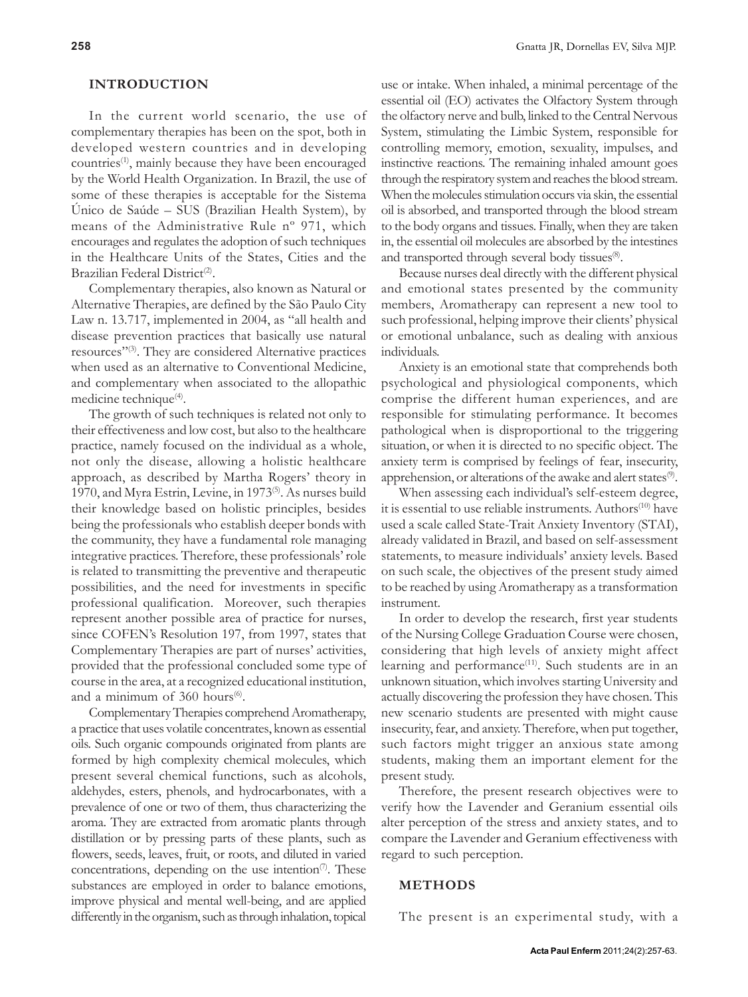### **INTRODUCTION**

In the current world scenario, the use of complementary therapies has been on the spot, both in developed western countries and in developing countries<sup>(1)</sup>, mainly because they have been encouraged by the World Health Organization. In Brazil, the use of some of these therapies is acceptable for the Sistema Único de Saúde – SUS (Brazilian Health System), by means of the Administrative Rule nº 971, which encourages and regulates the adoption of such techniques in the Healthcare Units of the States, Cities and the Brazilian Federal District<sup>(2)</sup>.

Complementary therapies, also known as Natural or Alternative Therapies, are defined by the São Paulo City Law n. 13.717, implemented in 2004, as "all health and disease prevention practices that basically use natural resources"(3). They are considered Alternative practices when used as an alternative to Conventional Medicine, and complementary when associated to the allopathic medicine technique<sup>(4)</sup>.

The growth of such techniques is related not only to their effectiveness and low cost, but also to the healthcare practice, namely focused on the individual as a whole, not only the disease, allowing a holistic healthcare approach, as described by Martha Rogers' theory in 1970, and Myra Estrin, Levine, in 1973<sup>(5)</sup>. As nurses build their knowledge based on holistic principles, besides being the professionals who establish deeper bonds with the community, they have a fundamental role managing integrative practices. Therefore, these professionals' role is related to transmitting the preventive and therapeutic possibilities, and the need for investments in specific professional qualification. Moreover, such therapies represent another possible area of practice for nurses, since COFEN's Resolution 197, from 1997, states that Complementary Therapies are part of nurses' activities, provided that the professional concluded some type of course in the area, at a recognized educational institution, and a minimum of  $360$  hours<sup> $(6)$ </sup>.

Complementary Therapies comprehend Aromatherapy, a practice that uses volatile concentrates, known as essential oils. Such organic compounds originated from plants are formed by high complexity chemical molecules, which present several chemical functions, such as alcohols, aldehydes, esters, phenols, and hydrocarbonates, with a prevalence of one or two of them, thus characterizing the aroma. They are extracted from aromatic plants through distillation or by pressing parts of these plants, such as flowers, seeds, leaves, fruit, or roots, and diluted in varied concentrations, depending on the use intention $\sqrt[n]{2}$ . These substances are employed in order to balance emotions, improve physical and mental well-being, and are applied differently in the organism, such as through inhalation, topical

use or intake. When inhaled, a minimal percentage of the essential oil (EO) activates the Olfactory System through the olfactory nerve and bulb, linked to the Central Nervous System, stimulating the Limbic System, responsible for controlling memory, emotion, sexuality, impulses, and instinctive reactions. The remaining inhaled amount goes through the respiratory system and reaches the blood stream. When the molecules stimulation occurs via skin, the essential oil is absorbed, and transported through the blood stream to the body organs and tissues. Finally, when they are taken in, the essential oil molecules are absorbed by the intestines and transported through several body tissues<sup>(8)</sup>.

Because nurses deal directly with the different physical and emotional states presented by the community members, Aromatherapy can represent a new tool to such professional, helping improve their clients' physical or emotional unbalance, such as dealing with anxious individuals.

Anxiety is an emotional state that comprehends both psychological and physiological components, which comprise the different human experiences, and are responsible for stimulating performance. It becomes pathological when is disproportional to the triggering situation, or when it is directed to no specific object. The anxiety term is comprised by feelings of fear, insecurity, apprehension, or alterations of the awake and alert states $\mathcal{P}$ .

When assessing each individual's self-esteem degree, it is essential to use reliable instruments. Authors<sup>(10)</sup> have used a scale called State-Trait Anxiety Inventory (STAI), already validated in Brazil, and based on self-assessment statements, to measure individuals' anxiety levels. Based on such scale, the objectives of the present study aimed to be reached by using Aromatherapy as a transformation instrument.

In order to develop the research, first year students of the Nursing College Graduation Course were chosen, considering that high levels of anxiety might affect learning and performance $(11)$ . Such students are in an unknown situation, which involves starting University and actually discovering the profession they have chosen. This new scenario students are presented with might cause insecurity, fear, and anxiety. Therefore, when put together, such factors might trigger an anxious state among students, making them an important element for the present study.

Therefore, the present research objectives were to verify how the Lavender and Geranium essential oils alter perception of the stress and anxiety states, and to compare the Lavender and Geranium effectiveness with regard to such perception.

### **METHODS**

The present is an experimental study, with a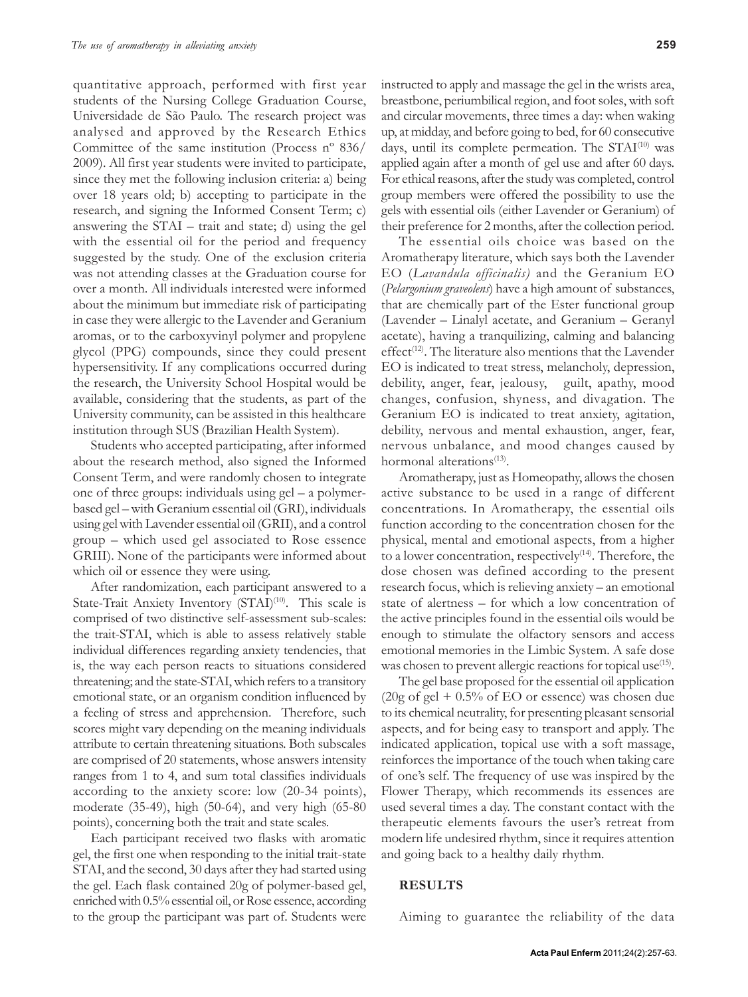quantitative approach, performed with first year students of the Nursing College Graduation Course, Universidade de São Paulo. The research project was analysed and approved by the Research Ethics Committee of the same institution (Process nº 836/ 2009). All first year students were invited to participate, since they met the following inclusion criteria: a) being over 18 years old; b) accepting to participate in the research, and signing the Informed Consent Term; c) answering the STAI – trait and state; d) using the gel with the essential oil for the period and frequency suggested by the study. One of the exclusion criteria was not attending classes at the Graduation course for over a month. All individuals interested were informed about the minimum but immediate risk of participating in case they were allergic to the Lavender and Geranium aromas, or to the carboxyvinyl polymer and propylene glycol (PPG) compounds, since they could present hypersensitivity. If any complications occurred during the research, the University School Hospital would be available, considering that the students, as part of the University community, can be assisted in this healthcare institution through SUS (Brazilian Health System).

Students who accepted participating, after informed about the research method, also signed the Informed Consent Term, and were randomly chosen to integrate one of three groups: individuals using gel – a polymerbased gel – with Geranium essential oil (GRI), individuals using gel with Lavender essential oil (GRII), and a control group – which used gel associated to Rose essence GRIII). None of the participants were informed about which oil or essence they were using.

After randomization, each participant answered to a State-Trait Anxiety Inventory (STAI)<sup>(10)</sup>. This scale is comprised of two distinctive self-assessment sub-scales: the trait-STAI, which is able to assess relatively stable individual differences regarding anxiety tendencies, that is, the way each person reacts to situations considered threatening; and the state-STAI, which refers to a transitory emotional state, or an organism condition influenced by a feeling of stress and apprehension. Therefore, such scores might vary depending on the meaning individuals attribute to certain threatening situations. Both subscales are comprised of 20 statements, whose answers intensity ranges from 1 to 4, and sum total classifies individuals according to the anxiety score: low (20-34 points), moderate (35-49), high (50-64), and very high (65-80 points), concerning both the trait and state scales.

Each participant received two flasks with aromatic gel, the first one when responding to the initial trait-state STAI, and the second, 30 days after they had started using the gel. Each flask contained 20g of polymer-based gel, enriched with 0.5% essential oil, or Rose essence, according to the group the participant was part of. Students were

instructed to apply and massage the gel in the wrists area, breastbone, periumbilical region, and foot soles, with soft and circular movements, three times a day: when waking up, at midday, and before going to bed, for 60 consecutive days, until its complete permeation. The STAI<sup>(10)</sup> was applied again after a month of gel use and after 60 days. For ethical reasons, after the study was completed, control group members were offered the possibility to use the gels with essential oils (either Lavender or Geranium) of their preference for 2 months, after the collection period.

The essential oils choice was based on the Aromatherapy literature, which says both the Lavender EO (*Lavandula officinalis)* and the Geranium EO (*Pelargonium graveolens*) have a high amount of substances, that are chemically part of the Ester functional group (Lavender – Linalyl acetate, and Geranium – Geranyl acetate), having a tranquilizing, calming and balancing effect<sup>(12)</sup>. The literature also mentions that the Lavender EO is indicated to treat stress, melancholy, depression, debility, anger, fear, jealousy, guilt, apathy, mood changes, confusion, shyness, and divagation. The Geranium EO is indicated to treat anxiety, agitation, debility, nervous and mental exhaustion, anger, fear, nervous unbalance, and mood changes caused by hormonal alterations $(13)$ .

Aromatherapy, just as Homeopathy, allows the chosen active substance to be used in a range of different concentrations. In Aromatherapy, the essential oils function according to the concentration chosen for the physical, mental and emotional aspects, from a higher to a lower concentration, respectively<sup>(14)</sup>. Therefore, the dose chosen was defined according to the present research focus, which is relieving anxiety – an emotional state of alertness – for which a low concentration of the active principles found in the essential oils would be enough to stimulate the olfactory sensors and access emotional memories in the Limbic System. A safe dose was chosen to prevent allergic reactions for topical use  $(15)$ .

The gel base proposed for the essential oil application  $(20g \text{ of gel} + 0.5\% \text{ of EO or essence})$  was chosen due to its chemical neutrality, for presenting pleasant sensorial aspects, and for being easy to transport and apply. The indicated application, topical use with a soft massage, reinforces the importance of the touch when taking care of one's self. The frequency of use was inspired by the Flower Therapy, which recommends its essences are used several times a day. The constant contact with the therapeutic elements favours the user's retreat from modern life undesired rhythm, since it requires attention and going back to a healthy daily rhythm.

### **RESULTS**

Aiming to guarantee the reliability of the data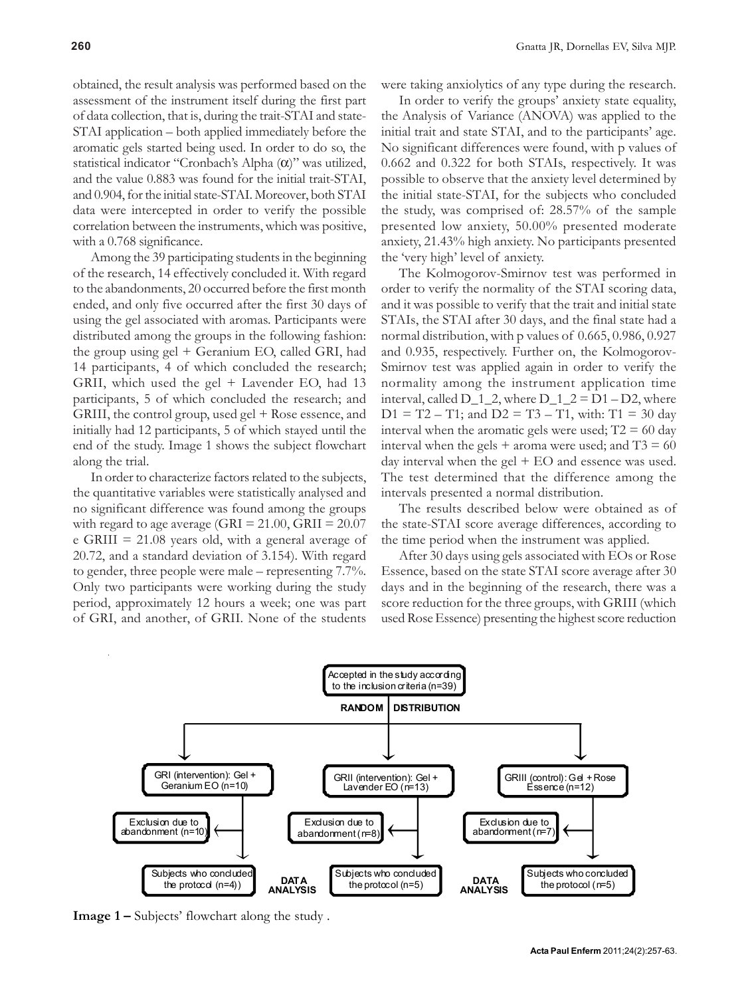obtained, the result analysis was performed based on the assessment of the instrument itself during the first part of data collection, that is, during the trait-STAI and state-STAI application – both applied immediately before the aromatic gels started being used. In order to do so, the statistical indicator "Cronbach's Alpha (α)" was utilized, and the value 0.883 was found for the initial trait-STAI, and 0.904, for the initial state-STAI. Moreover, both STAI data were intercepted in order to verify the possible correlation between the instruments, which was positive, with a 0.768 significance.

Among the 39 participating students in the beginning of the research, 14 effectively concluded it. With regard to the abandonments, 20 occurred before the first month ended, and only five occurred after the first 30 days of using the gel associated with aromas. Participants were distributed among the groups in the following fashion: the group using gel + Geranium EO, called GRI, had 14 participants, 4 of which concluded the research; GRII, which used the gel + Lavender EO, had 13 participants, 5 of which concluded the research; and GRIII, the control group, used gel + Rose essence, and initially had 12 participants, 5 of which stayed until the end of the study. Image 1 shows the subject flowchart along the trial.

In order to characterize factors related to the subjects, the quantitative variables were statistically analysed and no significant difference was found among the groups with regard to age average (GRI =  $21.00$ , GRII =  $20.07$ e GRIII = 21.08 years old, with a general average of 20.72, and a standard deviation of 3.154). With regard to gender, three people were male – representing 7.7%. Only two participants were working during the study period, approximately 12 hours a week; one was part of GRI, and another, of GRII. None of the students

were taking anxiolytics of any type during the research.

In order to verify the groups' anxiety state equality, the Analysis of Variance (ANOVA) was applied to the initial trait and state STAI, and to the participants' age. No significant differences were found, with p values of 0.662 and 0.322 for both STAIs, respectively. It was possible to observe that the anxiety level determined by the initial state-STAI, for the subjects who concluded the study, was comprised of: 28.57% of the sample presented low anxiety, 50.00% presented moderate anxiety, 21.43% high anxiety. No participants presented the 'very high' level of anxiety.

The Kolmogorov-Smirnov test was performed in order to verify the normality of the STAI scoring data, and it was possible to verify that the trait and initial state STAIs, the STAI after 30 days, and the final state had a normal distribution, with p values of 0.665, 0.986, 0.927 and 0.935, respectively. Further on, the Kolmogorov-Smirnov test was applied again in order to verify the normality among the instrument application time interval, called  $D_1_2$ , where  $D_1_2 = D_1 - D_2$ , where  $D1 = T2 - T1$ ; and  $D2 = T3 - T1$ , with:  $T1 = 30$  day interval when the aromatic gels were used;  $T2 = 60$  day interval when the gels  $+$  aroma were used; and  $T3 = 60$ day interval when the gel  $+$  EO and essence was used. The test determined that the difference among the intervals presented a normal distribution.

The results described below were obtained as of the state-STAI score average differences, according to the time period when the instrument was applied.

After 30 days using gels associated with EOs or Rose Essence, based on the state STAI score average after 30 days and in the beginning of the research, there was a score reduction for the three groups, with GRIII (which used Rose Essence) presenting the highest score reduction



**Image 1 –** Subjects' flowchart along the study .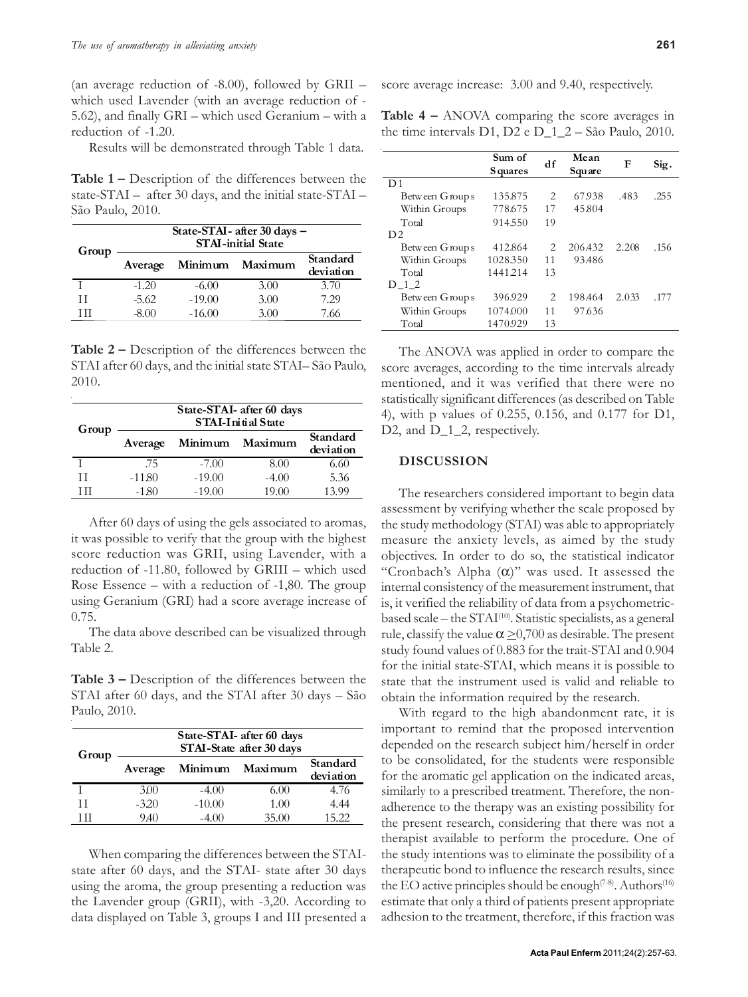(an average reduction of -8.00), followed by GRII – which used Lavender (with an average reduction of - 5.62), and finally GRI – which used Geranium – with a reduction of -1.20.

Results will be demonstrated through Table 1 data.

**Table 1 –** Description of the differences between the state-STAI – after 30 days, and the initial state-STAI – São Paulo, 2010.

| Group | State-STAI-after 30 days -<br><b>STAI-initial State</b> |          |                 |                       |  |
|-------|---------------------------------------------------------|----------|-----------------|-----------------------|--|
|       | Average                                                 |          | Minimum Maximum | Standard<br>deviation |  |
|       | $-1.20$                                                 | $-6.00$  | 3.00            | 3.70                  |  |
| Ħ     | $-5.62$                                                 | $-19.00$ | 3.00            | 7.29                  |  |
| Ш     | -8.00                                                   | $-16.00$ | 3.00            | 7.66                  |  |

**Table 2 –** Description of the differences between the STAI after 60 days, and the initial state STAI– São Paulo, 2010.

| Group | State-STAI- after 60 days<br>STAI-Initial State |          |                 |                       |  |
|-------|-------------------------------------------------|----------|-----------------|-----------------------|--|
|       | Average                                         |          | Minimum Maximum | Standard<br>deviation |  |
|       | .75                                             | $-7.00$  | 8.00            | 6.60                  |  |
| H     | $-11.80$                                        | $-19.00$ | $-4.00$         | 5.36                  |  |
| Ш     | $-1.80$                                         | $-19.00$ | 19.00           | 13.99                 |  |

After 60 days of using the gels associated to aromas, it was possible to verify that the group with the highest score reduction was GRII, using Lavender, with a reduction of -11.80, followed by GRIII – which used Rose Essence – with a reduction of -1,80. The group using Geranium (GRI) had a score average increase of 0.75.

The data above described can be visualized through Table 2.

**Table 3 –** Description of the differences between the STAI after 60 days, and the STAI after 30 days – São Paulo, 2010.

| Group | State-STAI- after 60 days<br>STAI-State after 30 days |          |                 |                       |  |
|-------|-------------------------------------------------------|----------|-----------------|-----------------------|--|
|       | Average                                               |          | Minimum Maximum | Standard<br>deviation |  |
|       | 3.00                                                  | $-4.00$  | 6.00            | 4.76                  |  |
| H     | $-320$                                                | $-10.00$ | 1.00            | 4.44                  |  |
| Ш     | 9.40                                                  | $-4.00$  | 35.00           | 15.22                 |  |

When comparing the differences between the STAIstate after 60 days, and the STAI- state after 30 days using the aroma, the group presenting a reduction was the Lavender group (GRII), with -3,20. According to data displayed on Table 3, groups I and III presented a

score average increase: 3.00 and 9.40, respectively.

**Table 4 –** ANOVA comparing the score averages in the time intervals D1, D2 e D  $\,$  1  $\,$  2 – São Paulo, 2010.

|                | Sum of<br>df    |    | Mean    | F     |      |
|----------------|-----------------|----|---------|-------|------|
|                | <b>S</b> quares |    | Square  |       | Sig. |
| D <sub>1</sub> |                 |    |         |       |      |
| Between Groups | 135.875         | 2  | 67.938  | .483  | .255 |
| Within Groups  | 778.675         | 17 | 45.804  |       |      |
| Total          | 914.550         | 19 |         |       |      |
| D <sub>2</sub> |                 |    |         |       |      |
| Between Groups | 412.864         | 2  | 206.432 | 2.208 | .156 |
| Within Groups  | 1028.350        | 11 | 93.486  |       |      |
| Total          | 1441214         | 13 |         |       |      |
| D 1 2          |                 |    |         |       |      |
| Between Groups | 396.929         | 2  | 198.464 | 2.033 | .177 |
| Within Groups  | 1074.000        | 11 | 97.636  |       |      |
| Total          | 1470.929        | 13 |         |       |      |

The ANOVA was applied in order to compare the score averages, according to the time intervals already mentioned, and it was verified that there were no statistically significant differences (as described on Table 4), with p values of 0.255, 0.156, and 0.177 for D1, D2, and D\_1\_2, respectively.

### **DISCUSSION**

The researchers considered important to begin data assessment by verifying whether the scale proposed by the study methodology (STAI) was able to appropriately measure the anxiety levels, as aimed by the study objectives. In order to do so, the statistical indicator "Cronbach's Alpha  $(\alpha)$ " was used. It assessed the internal consistency of the measurement instrument, that is, it verified the reliability of data from a psychometricbased scale – the STAI<sup>(10)</sup>. Statistic specialists, as a general rule, classify the value  $\alpha \ge 0,700$  as desirable. The present study found values of 0.883 for the trait-STAI and 0.904 for the initial state-STAI, which means it is possible to state that the instrument used is valid and reliable to obtain the information required by the research.

With regard to the high abandonment rate, it is important to remind that the proposed intervention depended on the research subject him/herself in order to be consolidated, for the students were responsible for the aromatic gel application on the indicated areas, similarly to a prescribed treatment. Therefore, the nonadherence to the therapy was an existing possibility for the present research, considering that there was not a therapist available to perform the procedure. One of the study intentions was to eliminate the possibility of a therapeutic bond to influence the research results, since the EO active principles should be enough<sup> $(7-8)$ </sup>. Authors<sup>(16)</sup> estimate that only a third of patients present appropriate adhesion to the treatment, therefore, if this fraction was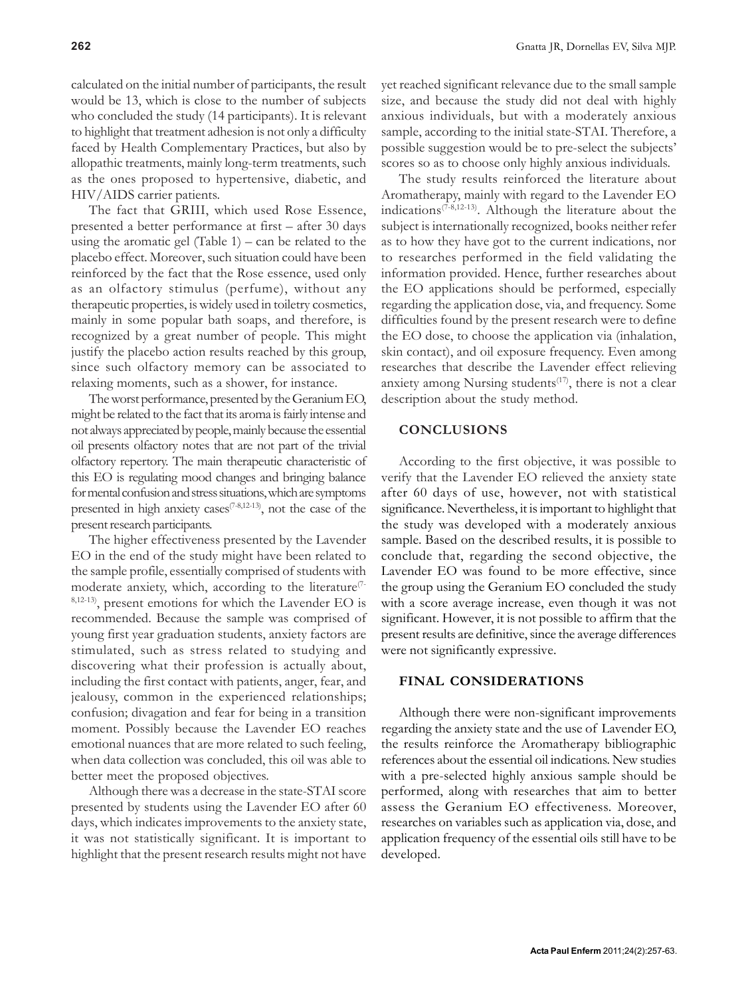calculated on the initial number of participants, the result would be 13, which is close to the number of subjects who concluded the study (14 participants). It is relevant to highlight that treatment adhesion is not only a difficulty faced by Health Complementary Practices, but also by allopathic treatments, mainly long-term treatments, such as the ones proposed to hypertensive, diabetic, and HIV/AIDS carrier patients.

The fact that GRIII, which used Rose Essence, presented a better performance at first – after 30 days using the aromatic gel  $(Table 1)$  – can be related to the placebo effect. Moreover, such situation could have been reinforced by the fact that the Rose essence, used only as an olfactory stimulus (perfume), without any therapeutic properties, is widely used in toiletry cosmetics, mainly in some popular bath soaps, and therefore, is recognized by a great number of people. This might justify the placebo action results reached by this group, since such olfactory memory can be associated to relaxing moments, such as a shower, for instance.

The worst performance, presented by the Geranium EO, might be related to the fact that its aroma is fairly intense and not always appreciated by people, mainly because the essential oil presents olfactory notes that are not part of the trivial olfactory repertory. The main therapeutic characteristic of this EO is regulating mood changes and bringing balance for mental confusion and stress situations, which are symptoms presented in high anxiety cases<sup> $(7-8,12-13)$ </sup>, not the case of the present research participants.

The higher effectiveness presented by the Lavender EO in the end of the study might have been related to the sample profile, essentially comprised of students with moderate anxiety, which, according to the literature<sup>(7-1</sup> 8,12-13), present emotions for which the Lavender EO is recommended. Because the sample was comprised of young first year graduation students, anxiety factors are stimulated, such as stress related to studying and discovering what their profession is actually about, including the first contact with patients, anger, fear, and jealousy, common in the experienced relationships; confusion; divagation and fear for being in a transition moment. Possibly because the Lavender EO reaches emotional nuances that are more related to such feeling, when data collection was concluded, this oil was able to better meet the proposed objectives.

Although there was a decrease in the state-STAI score presented by students using the Lavender EO after 60 days, which indicates improvements to the anxiety state, it was not statistically significant. It is important to highlight that the present research results might not have

yet reached significant relevance due to the small sample size, and because the study did not deal with highly anxious individuals, but with a moderately anxious sample, according to the initial state-STAI. Therefore, a possible suggestion would be to pre-select the subjects' scores so as to choose only highly anxious individuals.

The study results reinforced the literature about Aromatherapy, mainly with regard to the Lavender EO indications<sup> $(7-8,12-13)$ </sup>. Although the literature about the subject is internationally recognized, books neither refer as to how they have got to the current indications, nor to researches performed in the field validating the information provided. Hence, further researches about the EO applications should be performed, especially regarding the application dose, via, and frequency. Some difficulties found by the present research were to define the EO dose, to choose the application via (inhalation, skin contact), and oil exposure frequency. Even among researches that describe the Lavender effect relieving anxiety among Nursing students $(17)$ , there is not a clear description about the study method.

### **CONCLUSIONS**

According to the first objective, it was possible to verify that the Lavender EO relieved the anxiety state after 60 days of use, however, not with statistical significance. Nevertheless, it is important to highlight that the study was developed with a moderately anxious sample. Based on the described results, it is possible to conclude that, regarding the second objective, the Lavender EO was found to be more effective, since the group using the Geranium EO concluded the study with a score average increase, even though it was not significant. However, it is not possible to affirm that the present results are definitive, since the average differences were not significantly expressive.

### **FINAL CONSIDERATIONS**

Although there were non-significant improvements regarding the anxiety state and the use of Lavender EO, the results reinforce the Aromatherapy bibliographic references about the essential oil indications. New studies with a pre-selected highly anxious sample should be performed, along with researches that aim to better assess the Geranium EO effectiveness. Moreover, researches on variables such as application via, dose, and application frequency of the essential oils still have to be developed.